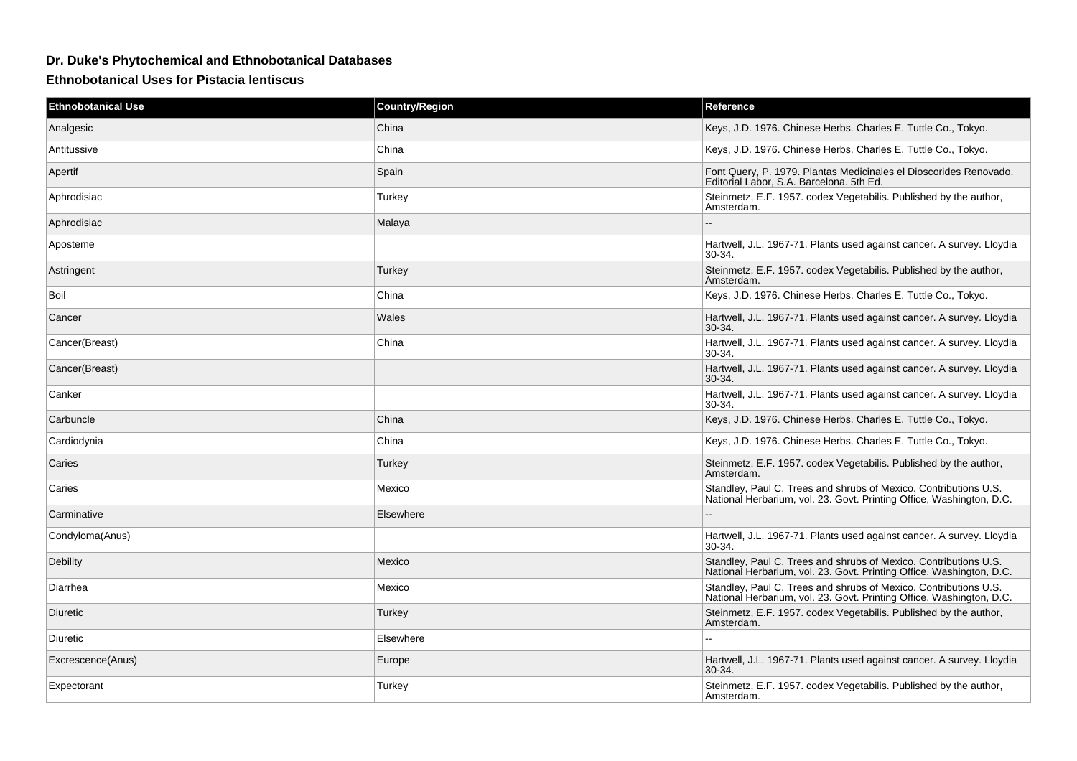## **Dr. Duke's Phytochemical and Ethnobotanical Databases**

**Ethnobotanical Uses for Pistacia lentiscus**

| <b>Ethnobotanical Use</b> | <b>Country/Region</b> | Reference                                                                                                                                |
|---------------------------|-----------------------|------------------------------------------------------------------------------------------------------------------------------------------|
| Analgesic                 | China                 | Keys, J.D. 1976. Chinese Herbs. Charles E. Tuttle Co., Tokyo.                                                                            |
| Antitussive               | China                 | Keys, J.D. 1976. Chinese Herbs. Charles E. Tuttle Co., Tokyo.                                                                            |
| Apertif                   | Spain                 | Font Query, P. 1979. Plantas Medicinales el Dioscorides Renovado.<br>Editorial Labor, S.A. Barcelona. 5th Ed.                            |
| Aphrodisiac               | Turkey                | Steinmetz, E.F. 1957. codex Vegetabilis. Published by the author,<br>Amsterdam.                                                          |
| Aphrodisiac               | Malaya                |                                                                                                                                          |
| Aposteme                  |                       | Hartwell, J.L. 1967-71. Plants used against cancer. A survey. Lloydia<br>$30-34.$                                                        |
| Astringent                | Turkey                | Steinmetz, E.F. 1957. codex Vegetabilis. Published by the author,<br>Amsterdam.                                                          |
| Boil                      | China                 | Keys, J.D. 1976. Chinese Herbs. Charles E. Tuttle Co., Tokyo.                                                                            |
| Cancer                    | Wales                 | Hartwell, J.L. 1967-71. Plants used against cancer. A survey. Lloydia<br>$30-34.$                                                        |
| Cancer(Breast)            | China                 | Hartwell, J.L. 1967-71. Plants used against cancer. A survey. Lloydia<br>30-34.                                                          |
| Cancer(Breast)            |                       | Hartwell, J.L. 1967-71. Plants used against cancer. A survey. Lloydia<br>30-34.                                                          |
| Canker                    |                       | Hartwell, J.L. 1967-71. Plants used against cancer. A survey. Lloydia<br>30-34.                                                          |
| Carbuncle                 | China                 | Keys, J.D. 1976. Chinese Herbs. Charles E. Tuttle Co., Tokyo.                                                                            |
| Cardiodynia               | China                 | Keys, J.D. 1976. Chinese Herbs. Charles E. Tuttle Co., Tokyo.                                                                            |
| Caries                    | Turkey                | Steinmetz, E.F. 1957. codex Vegetabilis. Published by the author,<br>Amsterdam.                                                          |
| Caries                    | Mexico                | Standley, Paul C. Trees and shrubs of Mexico. Contributions U.S.<br>National Herbarium, vol. 23. Govt. Printing Office, Washington, D.C. |
| Carminative               | Elsewhere             |                                                                                                                                          |
| Condyloma(Anus)           |                       | Hartwell, J.L. 1967-71. Plants used against cancer. A survey. Lloydia<br>30-34.                                                          |
| <b>Debility</b>           | Mexico                | Standley, Paul C. Trees and shrubs of Mexico. Contributions U.S.<br>National Herbarium, vol. 23. Govt. Printing Office, Washington, D.C. |
| Diarrhea                  | Mexico                | Standley, Paul C. Trees and shrubs of Mexico. Contributions U.S.<br>National Herbarium, vol. 23. Govt. Printing Office, Washington, D.C. |
| <b>Diuretic</b>           | Turkey                | Steinmetz, E.F. 1957. codex Vegetabilis. Published by the author,<br>Amsterdam.                                                          |
| Diuretic                  | Elsewhere             |                                                                                                                                          |
| Excrescence(Anus)         | Europe                | Hartwell, J.L. 1967-71. Plants used against cancer. A survey. Lloydia<br>30-34.                                                          |
| Expectorant               | Turkey                | Steinmetz, E.F. 1957. codex Vegetabilis. Published by the author,<br>Amsterdam.                                                          |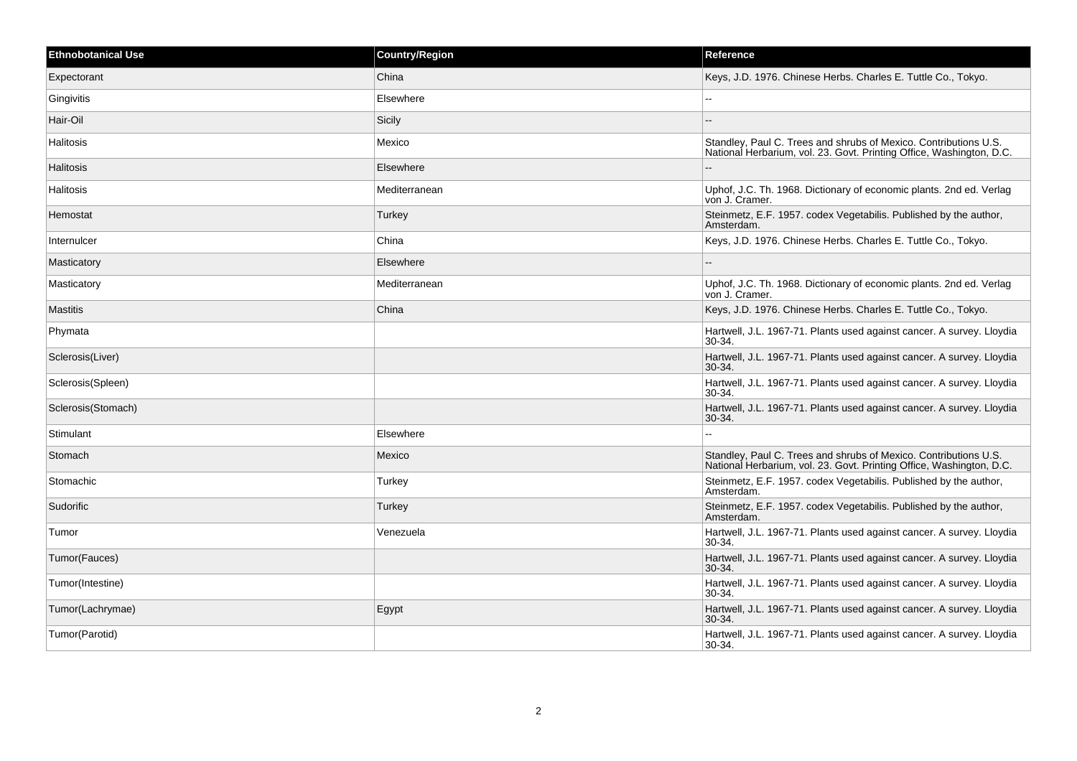| <b>Ethnobotanical Use</b> | <b>Country/Region</b> | Reference                                                                                                                                |
|---------------------------|-----------------------|------------------------------------------------------------------------------------------------------------------------------------------|
| Expectorant               | China                 | Keys, J.D. 1976. Chinese Herbs. Charles E. Tuttle Co., Tokyo.                                                                            |
| Gingivitis                | Elsewhere             | $\sim$                                                                                                                                   |
| Hair-Oil                  | Sicily                |                                                                                                                                          |
| Halitosis                 | Mexico                | Standley, Paul C. Trees and shrubs of Mexico. Contributions U.S.<br>National Herbarium, vol. 23. Govt. Printing Office, Washington, D.C. |
| Halitosis                 | Elsewhere             |                                                                                                                                          |
| Halitosis                 | Mediterranean         | Uphof, J.C. Th. 1968. Dictionary of economic plants. 2nd ed. Verlag<br>von J. Cramer.                                                    |
| Hemostat                  | <b>Turkey</b>         | Steinmetz, E.F. 1957. codex Vegetabilis. Published by the author,<br>Amsterdam.                                                          |
| Internulcer               | China                 | Keys, J.D. 1976. Chinese Herbs. Charles E. Tuttle Co., Tokyo.                                                                            |
| Masticatory               | Elsewhere             |                                                                                                                                          |
| Masticatory               | Mediterranean         | Uphof, J.C. Th. 1968. Dictionary of economic plants. 2nd ed. Verlag<br>von J. Cramer.                                                    |
| <b>Mastitis</b>           | China                 | Keys, J.D. 1976. Chinese Herbs. Charles E. Tuttle Co., Tokyo.                                                                            |
| Phymata                   |                       | Hartwell, J.L. 1967-71. Plants used against cancer. A survey. Lloydia<br>30-34.                                                          |
| Sclerosis(Liver)          |                       | Hartwell, J.L. 1967-71. Plants used against cancer. A survey. Lloydia<br>30-34.                                                          |
| Sclerosis(Spleen)         |                       | Hartwell, J.L. 1967-71. Plants used against cancer. A survey. Lloydia<br>30-34.                                                          |
| Sclerosis (Stomach)       |                       | Hartwell, J.L. 1967-71. Plants used against cancer. A survey. Lloydia<br>30-34.                                                          |
| Stimulant                 | Elsewhere             |                                                                                                                                          |
| Stomach                   | Mexico                | Standley, Paul C. Trees and shrubs of Mexico. Contributions U.S.<br>National Herbarium, vol. 23. Govt. Printing Office, Washington, D.C. |
| Stomachic                 | Turkey                | Steinmetz, E.F. 1957. codex Vegetabilis. Published by the author,<br>Amsterdam.                                                          |
| Sudorific                 | Turkey                | Steinmetz, E.F. 1957. codex Vegetabilis. Published by the author,<br>Amsterdam.                                                          |
| Tumor                     | Venezuela             | Hartwell, J.L. 1967-71. Plants used against cancer. A survey. Lloydia<br>30-34.                                                          |
| Tumor(Fauces)             |                       | Hartwell, J.L. 1967-71. Plants used against cancer. A survey. Lloydia<br>$30 - 34$                                                       |
| Tumor(Intestine)          |                       | Hartwell, J.L. 1967-71. Plants used against cancer. A survey. Lloydia<br>$30 - 34$                                                       |
| Tumor(Lachrymae)          | Egypt                 | Hartwell, J.L. 1967-71. Plants used against cancer. A survey. Lloydia<br>30-34.                                                          |
| Tumor(Parotid)            |                       | Hartwell, J.L. 1967-71. Plants used against cancer. A survey. Lloydia<br>30-34.                                                          |